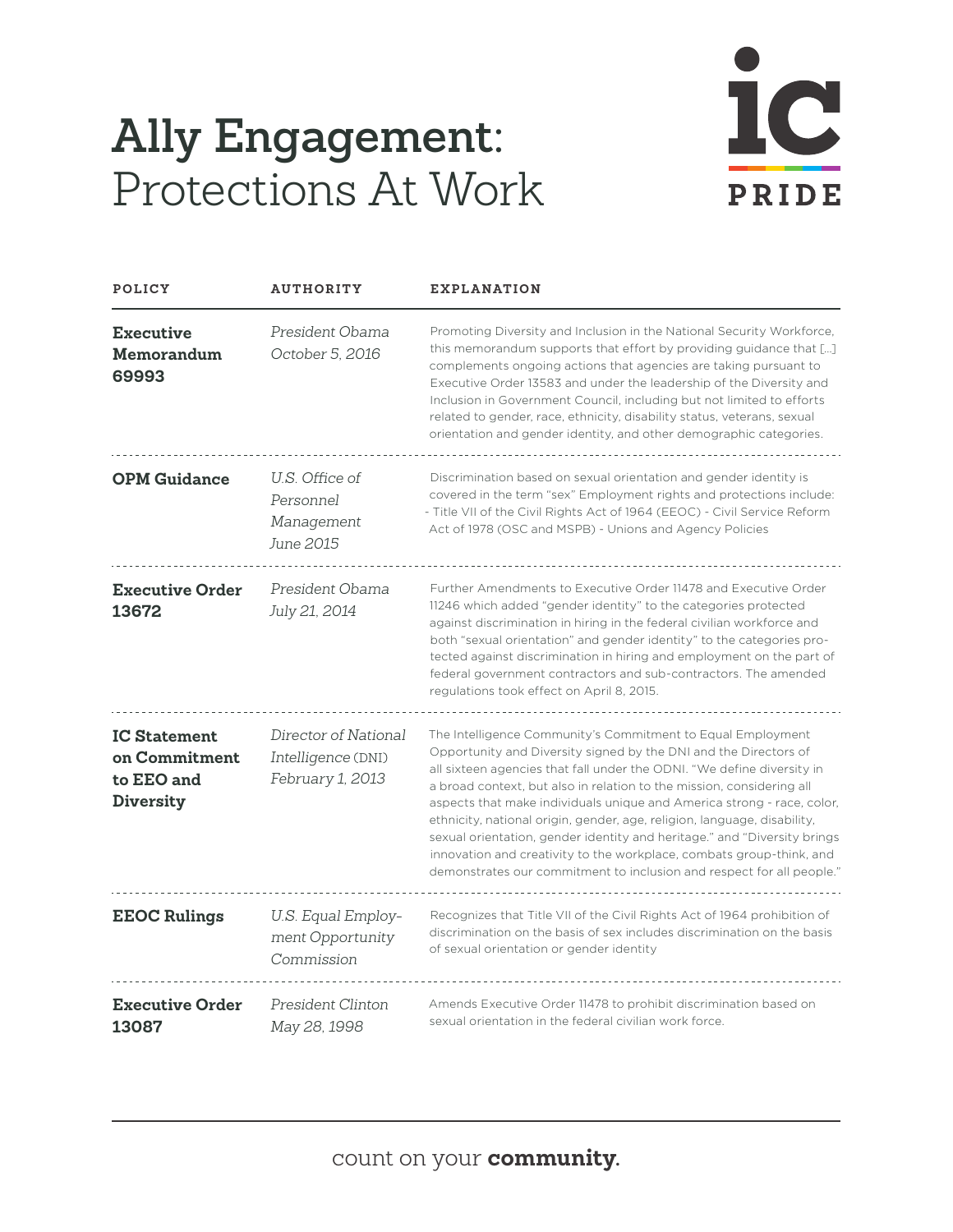## **Ally Engagement:** Protections At Work



| POLICY                                                                 | <b>AUTHORITY</b>                                               | <b>EXPLANATION</b>                                                                                                                                                                                                                                                                                                                                                                                                                                                                                                                                                                                                                                                    |
|------------------------------------------------------------------------|----------------------------------------------------------------|-----------------------------------------------------------------------------------------------------------------------------------------------------------------------------------------------------------------------------------------------------------------------------------------------------------------------------------------------------------------------------------------------------------------------------------------------------------------------------------------------------------------------------------------------------------------------------------------------------------------------------------------------------------------------|
| <b>Executive</b><br>Memorandum<br>69993                                | President Obama<br>October 5, 2016                             | Promoting Diversity and Inclusion in the National Security Workforce,<br>this memorandum supports that effort by providing guidance that []<br>complements ongoing actions that agencies are taking pursuant to<br>Executive Order 13583 and under the leadership of the Diversity and<br>Inclusion in Government Council, including but not limited to efforts<br>related to gender, race, ethnicity, disability status, veterans, sexual<br>orientation and gender identity, and other demographic categories.                                                                                                                                                      |
| <b>OPM Guidance</b>                                                    | U.S. Office of<br>Personnel<br>Management<br>June 2015         | Discrimination based on sexual orientation and gender identity is<br>covered in the term "sex" Employment rights and protections include:<br>- Title VII of the Civil Rights Act of 1964 (EEOC) - Civil Service Reform<br>Act of 1978 (OSC and MSPB) - Unions and Agency Policies                                                                                                                                                                                                                                                                                                                                                                                     |
| <b>Executive Order</b><br>13672                                        | President Obama<br>July 21, 2014                               | Further Amendments to Executive Order 11478 and Executive Order<br>11246 which added "gender identity" to the categories protected<br>against discrimination in hiring in the federal civilian workforce and<br>both "sexual orientation" and gender identity" to the categories pro-<br>tected against discrimination in hiring and employment on the part of<br>federal government contractors and sub-contractors. The amended<br>regulations took effect on April 8, 2015.                                                                                                                                                                                        |
| <b>IC Statement</b><br>on Commitment<br>to EEO and<br><b>Diversity</b> | Director of National<br>Intelligence (DNI)<br>February 1, 2013 | The Intelligence Community's Commitment to Equal Employment<br>Opportunity and Diversity signed by the DNI and the Directors of<br>all sixteen agencies that fall under the ODNI. "We define diversity in<br>a broad context, but also in relation to the mission, considering all<br>aspects that make individuals unique and America strong - race, color,<br>ethnicity, national origin, gender, age, religion, language, disability,<br>sexual orientation, gender identity and heritage." and "Diversity brings<br>innovation and creativity to the workplace, combats group-think, and<br>demonstrates our commitment to inclusion and respect for all people." |
| <b>EEOC Rulings</b>                                                    | U.S. Equal Employ-<br>ment Opportunity<br>Commission           | Recognizes that Title VII of the Civil Rights Act of 1964 prohibition of<br>discrimination on the basis of sex includes discrimination on the basis<br>of sexual orientation or gender identity                                                                                                                                                                                                                                                                                                                                                                                                                                                                       |
| <b>Executive Order</b><br>13087                                        | President Clinton<br>May 28, 1998                              | Amends Executive Order 11478 to prohibit discrimination based on<br>sexual orientation in the federal civilian work force.                                                                                                                                                                                                                                                                                                                                                                                                                                                                                                                                            |